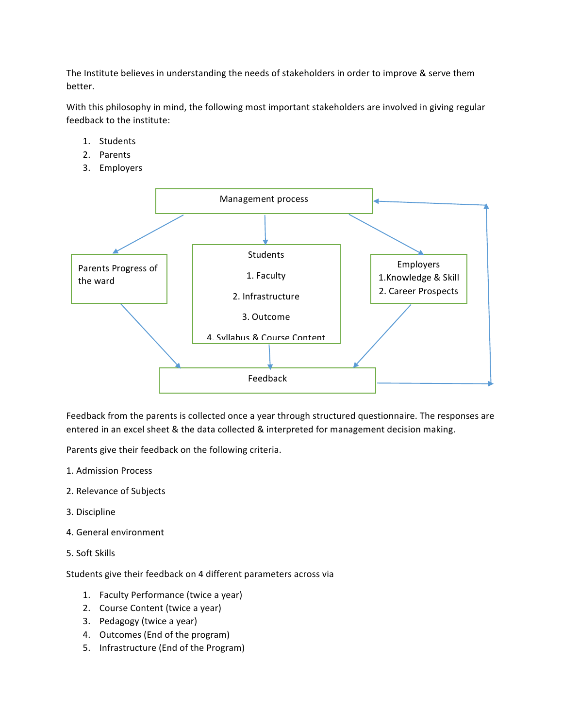The Institute believes in understanding the needs of stakeholders in order to improve & serve them better.

With this philosophy in mind, the following most important stakeholders are involved in giving regular feedback to the institute:

- 1. Students
- 2. Parents
- 3. Employers



Feedback from the parents is collected once a year through structured questionnaire. The responses are entered in an excel sheet & the data collected & interpreted for management decision making.

Parents give their feedback on the following criteria.

- 1. Admission Process
- 2. Relevance of Subjects
- 3. Discipline
- 4. General environment
- 5. Soft Skills

Students give their feedback on 4 different parameters across via

- 1. Faculty Performance (twice a year)
- 2. Course Content (twice a year)
- 3. Pedagogy (twice a year)
- 4. Outcomes (End of the program)
- 5. Infrastructure (End of the Program)